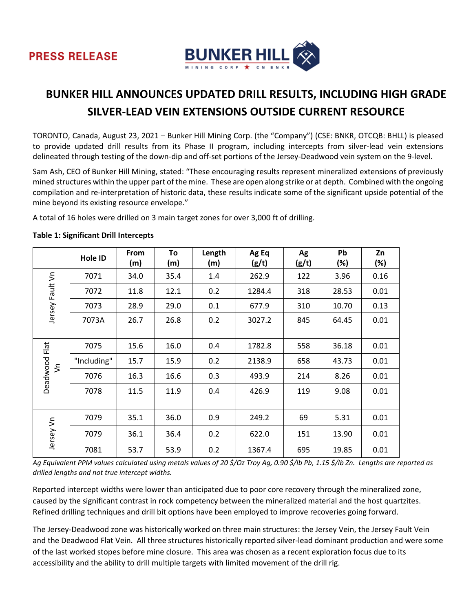

# **BUNKER HILL ANNOUNCES UPDATED DRILL RESULTS, INCLUDING HIGH GRADE SILVER-LEAD VEIN EXTENSIONS OUTSIDE CURRENT RESOURCE**

TORONTO, Canada, August 23, 2021 – Bunker Hill Mining Corp. (the "Company") (CSE: BNKR, OTCQB: BHLL) is pleased to provide updated drill results from its Phase II program, including intercepts from silver-lead vein extensions delineated through testing of the down-dip and off-set portions of the Jersey-Deadwood vein system on the 9-level.

Sam Ash, CEO of Bunker Hill Mining, stated: "These encouraging results represent mineralized extensions of previously mined structures within the upper part of the mine. These are open along strike or at depth. Combined with the ongoing compilation and re-interpretation of historic data, these results indicate some of the significant upside potential of the mine beyond its existing resource envelope."

A total of 16 holes were drilled on 3 main target zones for over 3,000 ft of drilling.

|                             | <b>Hole ID</b> | From<br>(m) | To<br>(m) | Length<br>(m) | Ag Eq<br>(g/t) | Ag<br>(g/t) | Pb<br>(%) | Zn<br>$(\%)$ |
|-----------------------------|----------------|-------------|-----------|---------------|----------------|-------------|-----------|--------------|
| Jersey Fault Vn             | 7071           | 34.0        | 35.4      | 1.4           | 262.9          | 122         | 3.96      | 0.16         |
|                             | 7072           | 11.8        | 12.1      | 0.2           | 1284.4         | 318         | 28.53     | 0.01         |
|                             | 7073           | 28.9        | 29.0      | 0.1           | 677.9          | 310         | 10.70     | 0.13         |
|                             | 7073A          | 26.7        | 26.8      | 0.2           | 3027.2         | 845         | 64.45     | 0.01         |
|                             |                |             |           |               |                |             |           |              |
| Flat<br>Deadwood<br>$\zeta$ | 7075           | 15.6        | 16.0      | 0.4           | 1782.8         | 558         | 36.18     | 0.01         |
|                             | "Including"    | 15.7        | 15.9      | 0.2           | 2138.9         | 658         | 43.73     | 0.01         |
|                             | 7076           | 16.3        | 16.6      | 0.3           | 493.9          | 214         | 8.26      | 0.01         |
|                             | 7078           | 11.5        | 11.9      | 0.4           | 426.9          | 119         | 9.08      | 0.01         |
|                             |                |             |           |               |                |             |           |              |
| Jersey Vn                   | 7079           | 35.1        | 36.0      | 0.9           | 249.2          | 69          | 5.31      | 0.01         |
|                             | 7079           | 36.1        | 36.4      | 0.2           | 622.0          | 151         | 13.90     | 0.01         |
|                             | 7081           | 53.7        | 53.9      | 0.2           | 1367.4         | 695         | 19.85     | 0.01         |

#### **Table 1: Significant Drill Intercepts**

*Ag Equivalent PPM values calculated using metals values of 20 \$/Oz Troy Ag, 0.90 \$/lb Pb, 1.15 \$/lb Zn. Lengths are reported as drilled lengths and not true intercept widths.*

Reported intercept widths were lower than anticipated due to poor core recovery through the mineralized zone, caused by the significant contrast in rock competency between the mineralized material and the host quartzites. Refined drilling techniques and drill bit options have been employed to improve recoveries going forward.

The Jersey-Deadwood zone was historically worked on three main structures: the Jersey Vein, the Jersey Fault Vein and the Deadwood Flat Vein. All three structures historically reported silver-lead dominant production and were some of the last worked stopes before mine closure. This area was chosen as a recent exploration focus due to its accessibility and the ability to drill multiple targets with limited movement of the drill rig.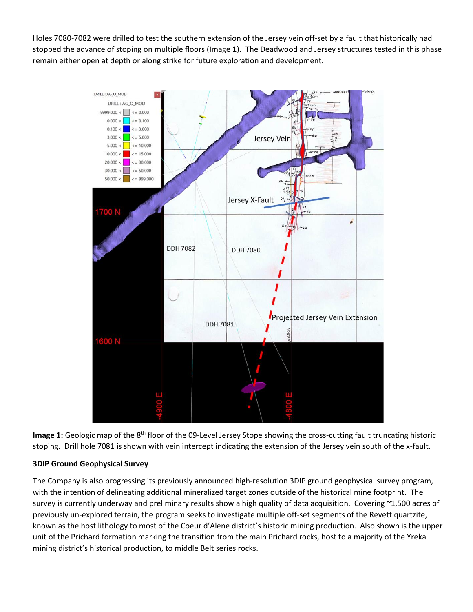Holes 7080-7082 were drilled to test the southern extension of the Jersey vein off-set by a fault that historically had stopped the advance of stoping on multiple floors (Image 1). The Deadwood and Jersey structures tested in this phase remain either open at depth or along strike for future exploration and development.



**Image 1:** Geologic map of the 8<sup>th</sup> floor of the 09-Level Jersey Stope showing the cross-cutting fault truncating historic stoping. Drill hole 7081 is shown with vein intercept indicating the extension of the Jersey vein south of the x-fault.

## **3DIP Ground Geophysical Survey**

The Company is also progressing its previously announced high-resolution 3DIP ground geophysical survey program, with the intention of delineating additional mineralized target zones outside of the historical mine footprint. The survey is currently underway and preliminary results show a high quality of data acquisition. Covering ~1,500 acres of previously un-explored terrain, the program seeks to investigate multiple off-set segments of the Revett quartzite, known as the host lithology to most of the Coeur d'Alene district's historic mining production. Also shown is the upper unit of the Prichard formation marking the transition from the main Prichard rocks, host to a majority of the Yreka mining district's historical production, to middle Belt series rocks.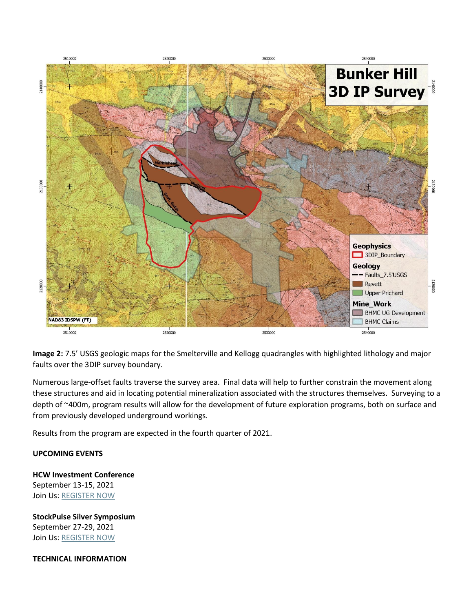

**Image 2:** 7.5' USGS geologic maps for the Smelterville and Kellogg quadrangles with highlighted lithology and major faults over the 3DIP survey boundary.

Numerous large-offset faults traverse the survey area. Final data will help to further constrain the movement along these structures and aid in locating potential mineralization associated with the structures themselves. Surveying to a depth of ~400m, program results will allow for the development of future exploration programs, both on surface and from previously developed underground workings.

Results from the program are expected in the fourth quarter of 2021.

## **UPCOMING EVENTS**

**HCW Investment Conference** September 13-15, 2021 Join Us: [REGISTER NOW](https://hcwevents.com/annualconference/)

**StockPulse Silver Symposium** September 27-29, 2021 Join Us: [REGISTER NOW](https://www.cdasilvershow.com/)

# **TECHNICAL INFORMATION**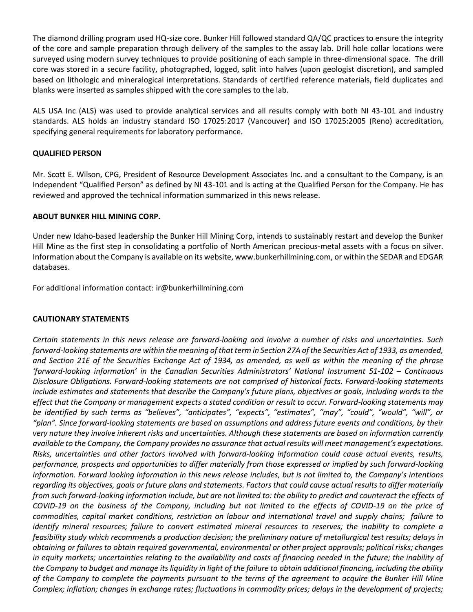The diamond drilling program used HQ-size core. Bunker Hill followed standard QA/QC practices to ensure the integrity of the core and sample preparation through delivery of the samples to the assay lab. Drill hole collar locations were surveyed using modern survey techniques to provide positioning of each sample in three-dimensional space. The drill core was stored in a secure facility, photographed, logged, split into halves (upon geologist discretion), and sampled based on lithologic and mineralogical interpretations. Standards of certified reference materials, field duplicates and blanks were inserted as samples shipped with the core samples to the lab.

ALS USA Inc (ALS) was used to provide analytical services and all results comply with both NI 43-101 and industry standards. ALS holds an industry standard ISO 17025:2017 (Vancouver) and ISO 17025:2005 (Reno) accreditation, specifying general requirements for laboratory performance.

### **QUALIFIED PERSON**

Mr. Scott E. Wilson, CPG, President of Resource Development Associates Inc. and a consultant to the Company, is an Independent "Qualified Person" as defined by NI 43-101 and is acting at the Qualified Person for the Company. He has reviewed and approved the technical information summarized in this news release.

### **ABOUT BUNKER HILL MINING CORP.**

Under new Idaho-based leadership the Bunker Hill Mining Corp, intends to sustainably restart and develop the Bunker Hill Mine as the first step in consolidating a portfolio of North American precious-metal assets with a focus on silver. Information about the Company is available on its website, www.bunkerhillmining.com, or within the SEDAR and EDGAR databases.

For additional information contact: ir@bunkerhillmining.com

## **CAUTIONARY STATEMENTS**

*Certain statements in this news release are forward-looking and involve a number of risks and uncertainties. Such forward-looking statements are within the meaning of that term in Section 27A of the Securities Act of 1933, as amended, and Section 21E of the Securities Exchange Act of 1934, as amended, as well as within the meaning of the phrase 'forward-looking information' in the Canadian Securities Administrators' National Instrument 51-102 – Continuous Disclosure Obligations. Forward-looking statements are not comprised of historical facts. Forward-looking statements include estimates and statements that describe the Company's future plans, objectives or goals, including words to the effect that the Company or management expects a stated condition or result to occur. Forward-looking statements may be identified by such terms as "believes", "anticipates", "expects", "estimates", "may", "could", "would", "will", or "plan". Since forward-looking statements are based on assumptions and address future events and conditions, by their very nature they involve inherent risks and uncertainties. Although these statements are based on information currently available to the Company, the Company provides no assurance that actual results will meet management's expectations. Risks, uncertainties and other factors involved with forward-looking information could cause actual events, results, performance, prospects and opportunities to differ materially from those expressed or implied by such forward-looking information. Forward looking information in this news release includes, but is not limited to, the Company's intentions regarding its objectives, goals or future plans and statements. Factors that could cause actual results to differ materially from such forward-looking information include, but are not limited to: the ability to predict and counteract the effects of COVID-19 on the business of the Company, including but not limited to the effects of COVID-19 on the price of commodities, capital market conditions, restriction on labour and international travel and supply chains; failure to identify mineral resources; failure to convert estimated mineral resources to reserves; the inability to complete a feasibility study which recommends a production decision; the preliminary nature of metallurgical test results; delays in obtaining or failures to obtain required governmental, environmental or other project approvals; political risks; changes in equity markets; uncertainties relating to the availability and costs of financing needed in the future; the inability of the Company to budget and manage its liquidity in light of the failure to obtain additional financing, including the ability of the Company to complete the payments pursuant to the terms of the agreement to acquire the Bunker Hill Mine Complex; inflation; changes in exchange rates; fluctuations in commodity prices; delays in the development of projects;*